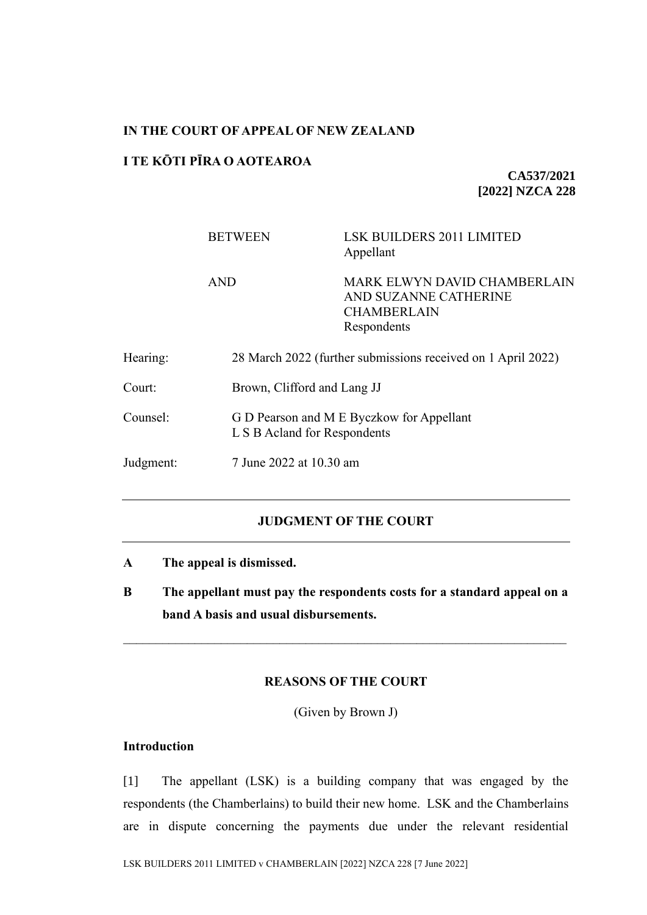#### **IN THE COURT OF APPEAL OF NEW ZEALAND**

## **I TE KŌTI PĪRA O AOTEAROA**

**CA537/2021 [2022] NZCA 228**

|           | <b>BETWEEN</b>                                               | <b>LSK BUILDERS 2011 LIMITED</b><br>Appellant                                              |  |
|-----------|--------------------------------------------------------------|--------------------------------------------------------------------------------------------|--|
|           | <b>AND</b>                                                   | MARK ELWYN DAVID CHAMBERLAIN<br>AND SUZANNE CATHERINE<br><b>CHAMBERLAIN</b><br>Respondents |  |
| Hearing:  | 28 March 2022 (further submissions received on 1 April 2022) |                                                                                            |  |
| Court:    | Brown, Clifford and Lang JJ                                  |                                                                                            |  |
| Counsel:  |                                                              | G D Pearson and M E Byczkow for Appellant<br>L S B Acland for Respondents                  |  |
| Judgment: |                                                              | 7 June 2022 at 10.30 am                                                                    |  |
|           |                                                              |                                                                                            |  |

## **JUDGMENT OF THE COURT**

- **A The appeal is dismissed.**
- **B The appellant must pay the respondents costs for a standard appeal on a band A basis and usual disbursements.**

### **REASONS OF THE COURT**

(Given by Brown J)

# **Introduction**

[1] The appellant (LSK) is a building company that was engaged by the respondents (the Chamberlains) to build their new home. LSK and the Chamberlains are in dispute concerning the payments due under the relevant residential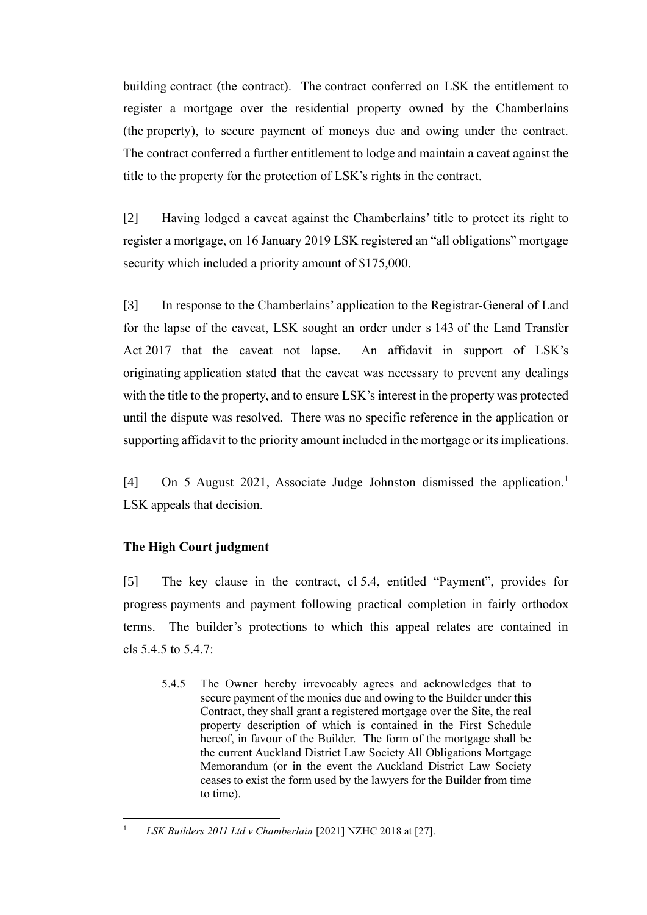building contract (the contract). The contract conferred on LSK the entitlement to register a mortgage over the residential property owned by the Chamberlains (the property), to secure payment of moneys due and owing under the contract. The contract conferred a further entitlement to lodge and maintain a caveat against the title to the property for the protection of LSK's rights in the contract.

[2] Having lodged a caveat against the Chamberlains' title to protect its right to register a mortgage, on 16 January 2019 LSK registered an "all obligations" mortgage security which included a priority amount of \$175,000.

[3] In response to the Chamberlains' application to the Registrar-General of Land for the lapse of the caveat, LSK sought an order under s 143 of the Land Transfer Act 2017 that the caveat not lapse. An affidavit in support of LSK's originating application stated that the caveat was necessary to prevent any dealings with the title to the property, and to ensure LSK's interest in the property was protected until the dispute was resolved. There was no specific reference in the application or supporting affidavit to the priority amount included in the mortgage or its implications.

[4] On 5 August 2021, Associate Judge Johnston dismissed the application.<sup>1</sup> LSK appeals that decision.

# **The High Court judgment**

[5] The key clause in the contract, cl 5.4, entitled "Payment", provides for progress payments and payment following practical completion in fairly orthodox terms. The builder's protections to which this appeal relates are contained in cls 5.4.5 to 5.4.7:

5.4.5 The Owner hereby irrevocably agrees and acknowledges that to secure payment of the monies due and owing to the Builder under this Contract, they shall grant a registered mortgage over the Site, the real property description of which is contained in the First Schedule hereof, in favour of the Builder. The form of the mortgage shall be the current Auckland District Law Society All Obligations Mortgage Memorandum (or in the event the Auckland District Law Society ceases to exist the form used by the lawyers for the Builder from time to time).

<sup>1</sup> *LSK Builders 2011 Ltd v Chamberlain* [2021] NZHC 2018 at [27].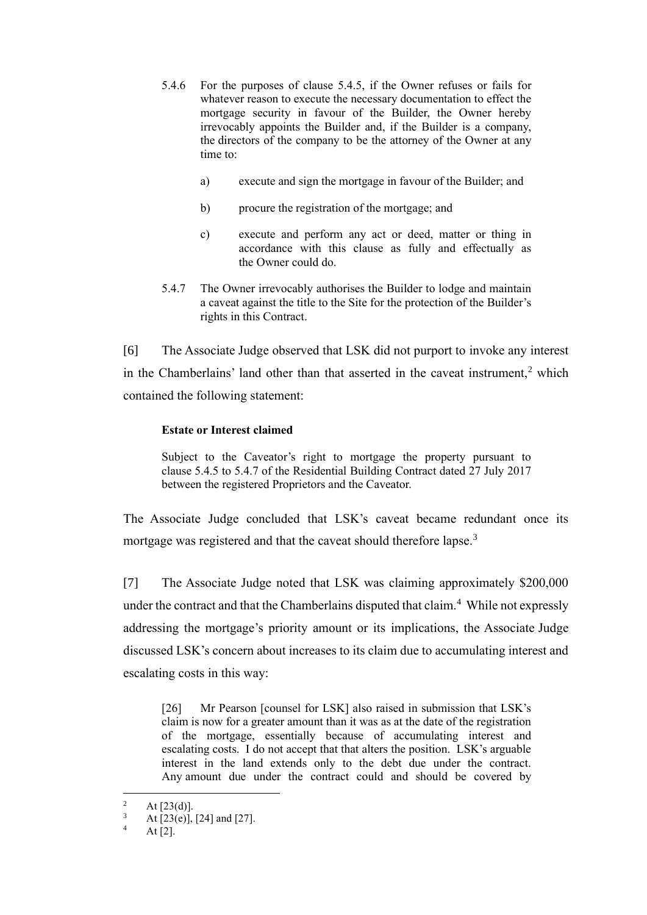- 5.4.6 For the purposes of clause 5.4.5, if the Owner refuses or fails for whatever reason to execute the necessary documentation to effect the mortgage security in favour of the Builder, the Owner hereby irrevocably appoints the Builder and, if the Builder is a company, the directors of the company to be the attorney of the Owner at any time to:
	- a) execute and sign the mortgage in favour of the Builder; and
	- b) procure the registration of the mortgage; and
	- c) execute and perform any act or deed, matter or thing in accordance with this clause as fully and effectually as the Owner could do.
- 5.4.7 The Owner irrevocably authorises the Builder to lodge and maintain a caveat against the title to the Site for the protection of the Builder's rights in this Contract.

[6] The Associate Judge observed that LSK did not purport to invoke any interest in the Chamberlains' land other than that asserted in the caveat instrument,<sup>2</sup> which contained the following statement:

### **Estate or Interest claimed**

Subject to the Caveator's right to mortgage the property pursuant to clause 5.4.5 to 5.4.7 of the Residential Building Contract dated 27 July 2017 between the registered Proprietors and the Caveator.

The Associate Judge concluded that LSK's caveat became redundant once its mortgage was registered and that the caveat should therefore lapse.<sup>3</sup>

[7] The Associate Judge noted that LSK was claiming approximately \$200,000 under the contract and that the Chamberlains disputed that claim.<sup>4</sup> While not expressly addressing the mortgage's priority amount or its implications, the Associate Judge discussed LSK's concern about increases to its claim due to accumulating interest and escalating costs in this way:

[26] Mr Pearson [counsel for LSK] also raised in submission that LSK's claim is now for a greater amount than it was as at the date of the registration of the mortgage, essentially because of accumulating interest and escalating costs. I do not accept that that alters the position. LSK's arguable interest in the land extends only to the debt due under the contract. Any amount due under the contract could and should be covered by

<sup>&</sup>lt;sup>2</sup> At [23(d)].<br><sup>3</sup> At [23(e)]

 $\frac{3}{4}$  At [23(e)], [24] and [27].

At  $[2]$ .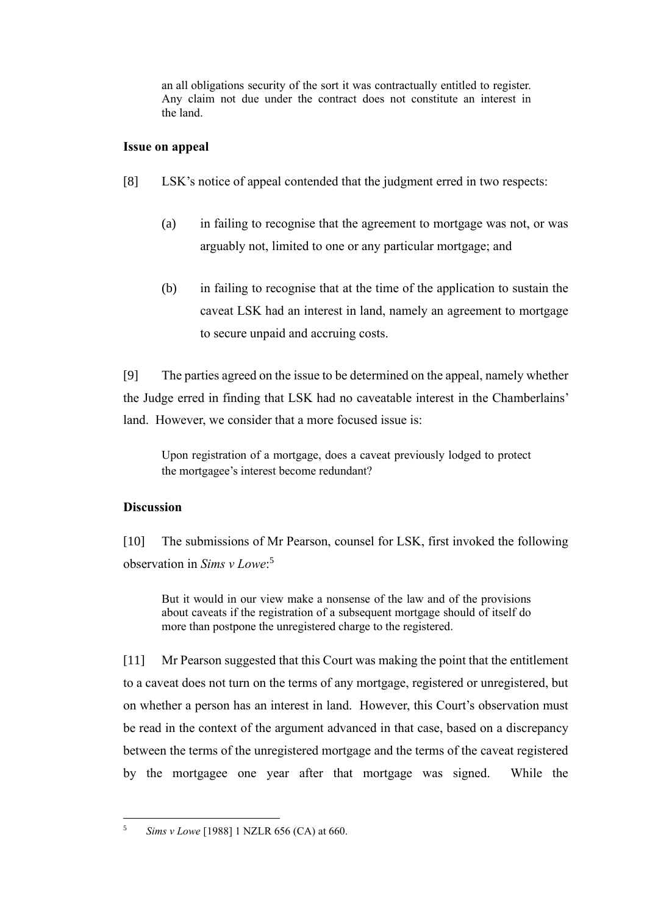an all obligations security of the sort it was contractually entitled to register. Any claim not due under the contract does not constitute an interest in the land.

#### **Issue on appeal**

- [8] LSK's notice of appeal contended that the judgment erred in two respects:
	- (a) in failing to recognise that the agreement to mortgage was not, or was arguably not, limited to one or any particular mortgage; and
	- (b) in failing to recognise that at the time of the application to sustain the caveat LSK had an interest in land, namely an agreement to mortgage to secure unpaid and accruing costs.

[9] The parties agreed on the issue to be determined on the appeal, namely whether the Judge erred in finding that LSK had no caveatable interest in the Chamberlains' land. However, we consider that a more focused issue is:

Upon registration of a mortgage, does a caveat previously lodged to protect the mortgagee's interest become redundant?

### **Discussion**

[10] The submissions of Mr Pearson, counsel for LSK, first invoked the following observation in *Sims v Lowe*: 5

But it would in our view make a nonsense of the law and of the provisions about caveats if the registration of a subsequent mortgage should of itself do more than postpone the unregistered charge to the registered.

[11] Mr Pearson suggested that this Court was making the point that the entitlement to a caveat does not turn on the terms of any mortgage, registered or unregistered, but on whether a person has an interest in land. However, this Court's observation must be read in the context of the argument advanced in that case, based on a discrepancy between the terms of the unregistered mortgage and the terms of the caveat registered by the mortgagee one year after that mortgage was signed. While the

<sup>5</sup> *Sims v Lowe* [1988] 1 NZLR 656 (CA) at 660.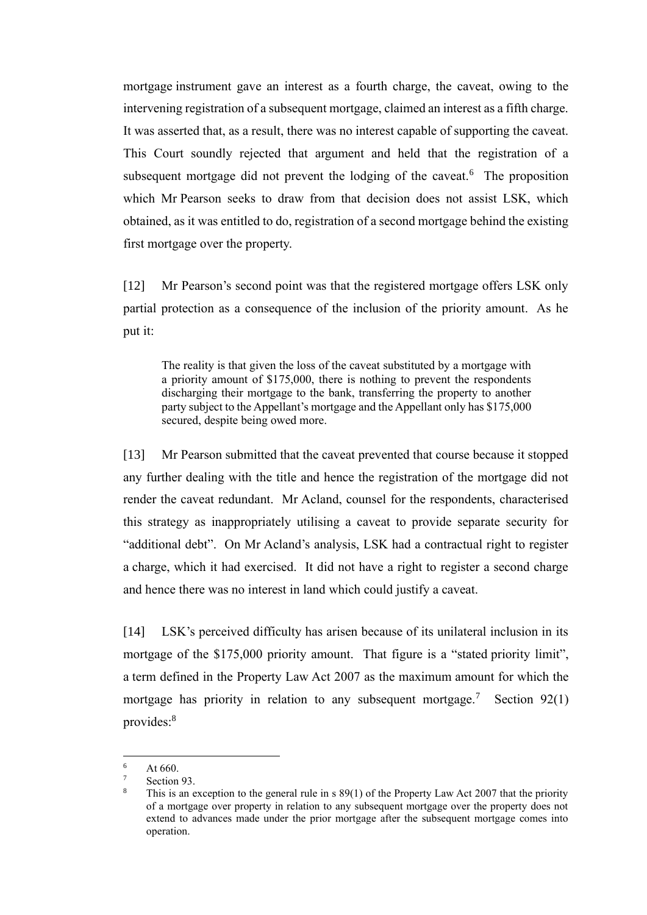mortgage instrument gave an interest as a fourth charge, the caveat, owing to the intervening registration of a subsequent mortgage, claimed an interest as a fifth charge. It was asserted that, as a result, there was no interest capable of supporting the caveat. This Court soundly rejected that argument and held that the registration of a subsequent mortgage did not prevent the lodging of the caveat.<sup>6</sup> The proposition which Mr Pearson seeks to draw from that decision does not assist LSK, which obtained, as it was entitled to do, registration of a second mortgage behind the existing first mortgage over the property.

[12] Mr Pearson's second point was that the registered mortgage offers LSK only partial protection as a consequence of the inclusion of the priority amount. As he put it:

The reality is that given the loss of the caveat substituted by a mortgage with a priority amount of \$175,000, there is nothing to prevent the respondents discharging their mortgage to the bank, transferring the property to another party subject to the Appellant's mortgage and the Appellant only has \$175,000 secured, despite being owed more.

[13] Mr Pearson submitted that the caveat prevented that course because it stopped any further dealing with the title and hence the registration of the mortgage did not render the caveat redundant. Mr Acland, counsel for the respondents, characterised this strategy as inappropriately utilising a caveat to provide separate security for "additional debt". On Mr Acland's analysis, LSK had a contractual right to register a charge, which it had exercised. It did not have a right to register a second charge and hence there was no interest in land which could justify a caveat.

[14] LSK's perceived difficulty has arisen because of its unilateral inclusion in its mortgage of the \$175,000 priority amount. That figure is a "stated priority limit", a term defined in the Property Law Act 2007 as the maximum amount for which the mortgage has priority in relation to any subsequent mortgage.<sup>7</sup> Section 92(1) provides:<sup>8</sup>

 $\frac{6}{7}$  At 660.

Section 93.

This is an exception to the general rule in s  $89(1)$  of the Property Law Act 2007 that the priority of a mortgage over property in relation to any subsequent mortgage over the property does not extend to advances made under the prior mortgage after the subsequent mortgage comes into operation.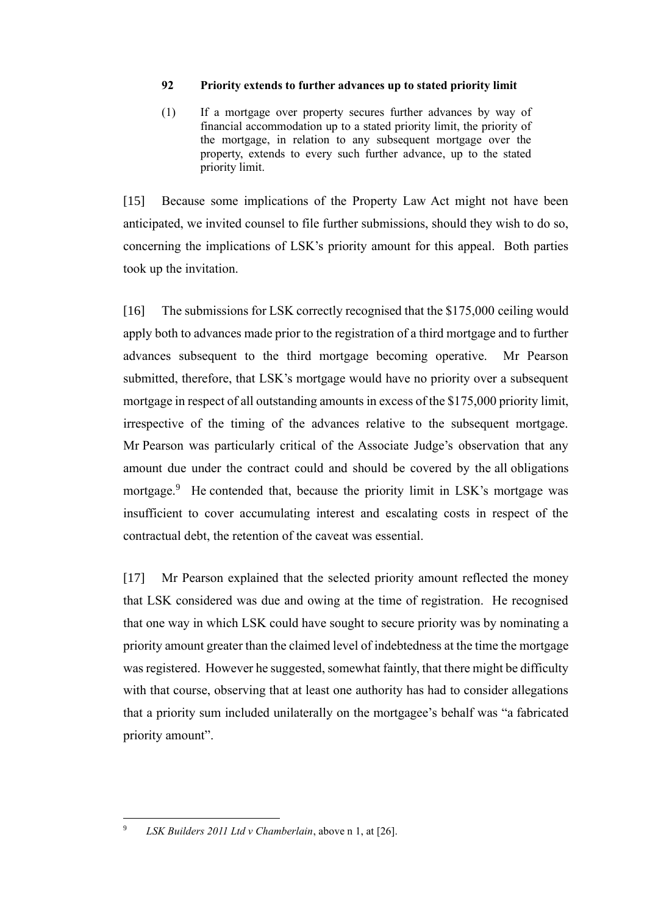#### **92 Priority extends to further advances up to stated priority limit**

(1) If a mortgage over property secures further advances by way of financial accommodation up to a stated priority limit, the priority of the mortgage, in relation to any subsequent mortgage over the property, extends to every such further advance, up to the stated priority limit.

[15] Because some implications of the Property Law Act might not have been anticipated, we invited counsel to file further submissions, should they wish to do so, concerning the implications of LSK's priority amount for this appeal. Both parties took up the invitation.

[16] The submissions for LSK correctly recognised that the \$175,000 ceiling would apply both to advances made prior to the registration of a third mortgage and to further advances subsequent to the third mortgage becoming operative. Mr Pearson submitted, therefore, that LSK's mortgage would have no priority over a subsequent mortgage in respect of all outstanding amounts in excess of the \$175,000 priority limit, irrespective of the timing of the advances relative to the subsequent mortgage. Mr Pearson was particularly critical of the Associate Judge's observation that any amount due under the contract could and should be covered by the all obligations mortgage.<sup>9</sup> He contended that, because the priority limit in LSK's mortgage was insufficient to cover accumulating interest and escalating costs in respect of the contractual debt, the retention of the caveat was essential.

[17] Mr Pearson explained that the selected priority amount reflected the money that LSK considered was due and owing at the time of registration. He recognised that one way in which LSK could have sought to secure priority was by nominating a priority amount greater than the claimed level of indebtedness at the time the mortgage was registered. However he suggested, somewhat faintly, that there might be difficulty with that course, observing that at least one authority has had to consider allegations that a priority sum included unilaterally on the mortgagee's behalf was "a fabricated priority amount".

<sup>9</sup> *LSK Builders 2011 Ltd v Chamberlain*, above n 1, at [26].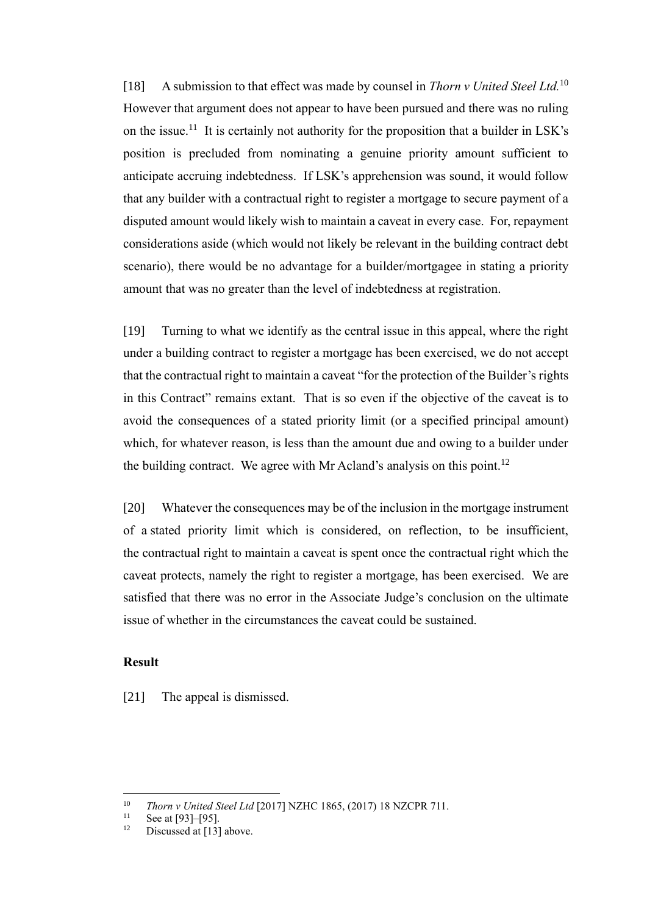[18] A submission to that effect was made by counsel in *Thorn v United Steel Ltd.*<sup>10</sup> However that argument does not appear to have been pursued and there was no ruling on the issue.<sup>11</sup> It is certainly not authority for the proposition that a builder in LSK's position is precluded from nominating a genuine priority amount sufficient to anticipate accruing indebtedness. If LSK's apprehension was sound, it would follow that any builder with a contractual right to register a mortgage to secure payment of a disputed amount would likely wish to maintain a caveat in every case. For, repayment considerations aside (which would not likely be relevant in the building contract debt scenario), there would be no advantage for a builder/mortgagee in stating a priority amount that was no greater than the level of indebtedness at registration.

[19] Turning to what we identify as the central issue in this appeal, where the right under a building contract to register a mortgage has been exercised, we do not accept that the contractual right to maintain a caveat "for the protection of the Builder's rights in this Contract" remains extant. That is so even if the objective of the caveat is to avoid the consequences of a stated priority limit (or a specified principal amount) which, for whatever reason, is less than the amount due and owing to a builder under the building contract. We agree with Mr Acland's analysis on this point.<sup>12</sup>

[20] Whatever the consequences may be of the inclusion in the mortgage instrument of a stated priority limit which is considered, on reflection, to be insufficient, the contractual right to maintain a caveat is spent once the contractual right which the caveat protects, namely the right to register a mortgage, has been exercised. We are satisfied that there was no error in the Associate Judge's conclusion on the ultimate issue of whether in the circumstances the caveat could be sustained.

### **Result**

[21] The appeal is dismissed.

<sup>10</sup> *Thorn v United Steel Ltd* [2017] NZHC 1865, (2017) 18 NZCPR 711.

<sup>&</sup>lt;sup>11</sup> See at [93]–[95].<br><sup>12</sup> Discussed at [13]

Discussed at [13] above.